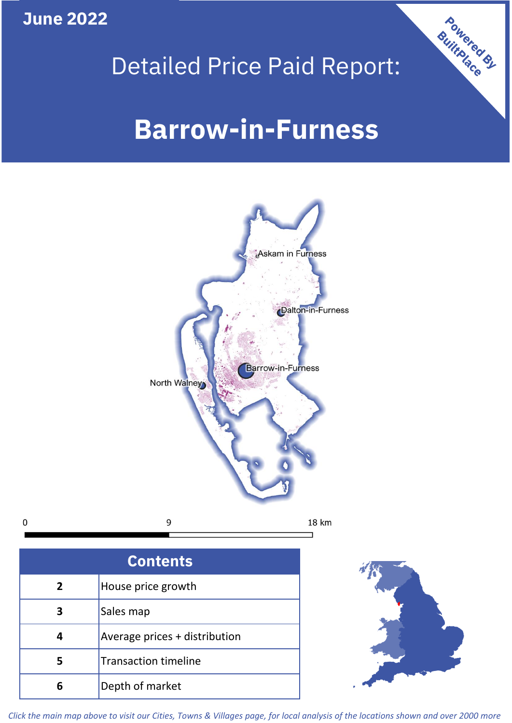**June 2022**

 $\mathbf 0$ 

# Detailed Price Paid Report:

# **Barrow-in-Furness**



| <b>Contents</b> |                               |  |  |
|-----------------|-------------------------------|--|--|
| $\overline{2}$  | House price growth            |  |  |
| 3               | Sales map                     |  |  |
|                 | Average prices + distribution |  |  |
|                 | <b>Transaction timeline</b>   |  |  |
|                 | Depth of market               |  |  |



Powered By

*Click the main map above to visit our Cities, Towns & Villages page, for local analysis of the locations shown and over 2000 more*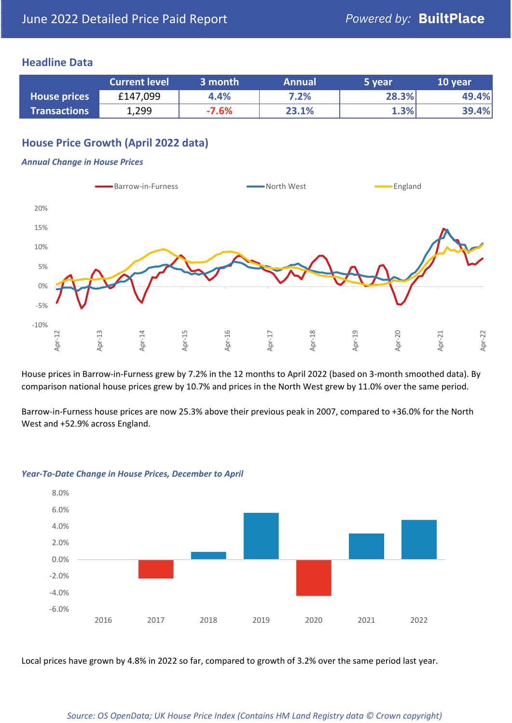### **Headline Data**

|                     | <b>Current level</b> | 3 month | <b>Annual</b> | 5 year | 10 year |
|---------------------|----------------------|---------|---------------|--------|---------|
| <b>House prices</b> | £147,099             | 4.4%    | 7.2%          | 28.3%  | 49.4%   |
| <b>Transactions</b> | 1,299                | $-7.6%$ | 23.1%         | 1.3%   | 39.4%   |

# **House Price Growth (April 2022 data)**

#### *Annual Change in House Prices*



House prices in Barrow-in-Furness grew by 7.2% in the 12 months to April 2022 (based on 3-month smoothed data). By comparison national house prices grew by 10.7% and prices in the North West grew by 11.0% over the same period.

Barrow-in-Furness house prices are now 25.3% above their previous peak in 2007, compared to +36.0% for the North West and +52.9% across England.



#### *Year-To-Date Change in House Prices, December to April*

Local prices have grown by 4.8% in 2022 so far, compared to growth of 3.2% over the same period last year.

#### *Source: OS OpenData; UK House Price Index (Contains HM Land Registry data © Crown copyright)*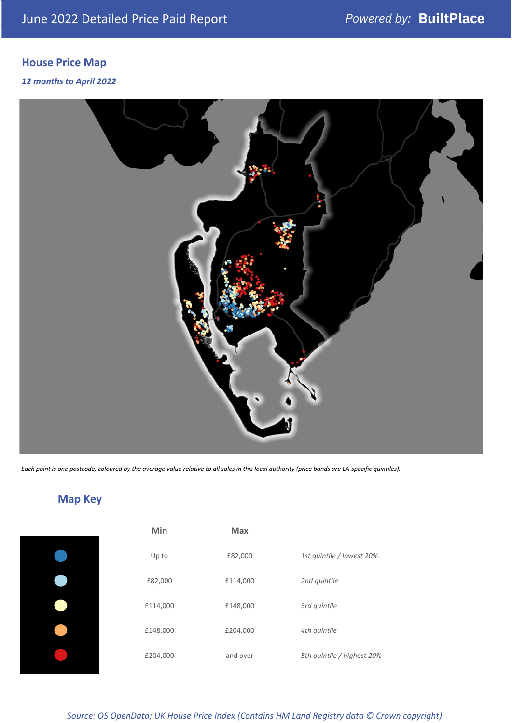# **House Price Map**

#### *12 months to April 2022*



*Each point is one postcode, coloured by the average value relative to all sales in this local authority (price bands are LA-specific quintiles).*

# **Map Key**

| Min      | <b>Max</b> |                            |
|----------|------------|----------------------------|
| Up to    | £82,000    | 1st quintile / lowest 20%  |
| £82,000  | £114,000   | 2nd quintile               |
| £114,000 | £148,000   | 3rd quintile               |
| £148,000 | £204,000   | 4th quintile               |
| £204,000 | and over   | 5th quintile / highest 20% |

*Source: OS OpenData; UK House Price Index (Contains HM Land Registry data © Crown copyright)*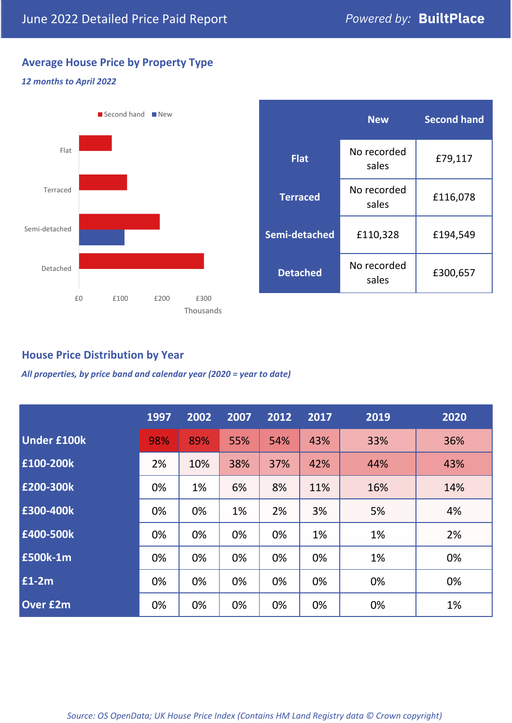£79,117

**Second hand**

£116,078

£300,657

# **Average House Price by Property Type**

### *12 months to April 2022*



## **House Price Distribution by Year**

*All properties, by price band and calendar year (2020 = year to date)*

|                    | 1997 | 2002 | 2007 | 2012 | 2017 | 2019 | 2020 |
|--------------------|------|------|------|------|------|------|------|
| <b>Under £100k</b> | 98%  | 89%  | 55%  | 54%  | 43%  | 33%  | 36%  |
| £100-200k          | 2%   | 10%  | 38%  | 37%  | 42%  | 44%  | 43%  |
| E200-300k          | 0%   | 1%   | 6%   | 8%   | 11%  | 16%  | 14%  |
| E300-400k          | 0%   | 0%   | 1%   | 2%   | 3%   | 5%   | 4%   |
| £400-500k          | 0%   | 0%   | 0%   | 0%   | 1%   | 1%   | 2%   |
| <b>£500k-1m</b>    | 0%   | 0%   | 0%   | 0%   | 0%   | 1%   | 0%   |
| £1-2m              | 0%   | 0%   | 0%   | 0%   | 0%   | 0%   | 0%   |
| <b>Over £2m</b>    | 0%   | 0%   | 0%   | 0%   | 0%   | 0%   | 1%   |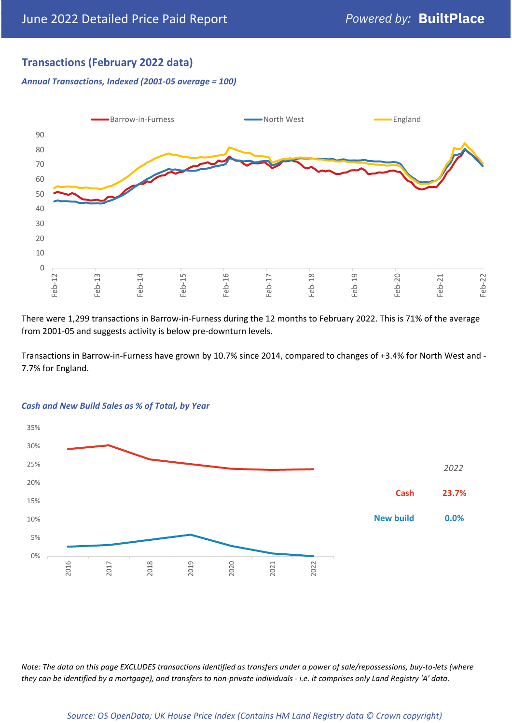# **Transactions (February 2022 data)**

*Annual Transactions, Indexed (2001-05 average = 100)*



There were 1,299 transactions in Barrow-in-Furness during the 12 months to February 2022. This is 71% of the average from 2001-05 and suggests activity is below pre-downturn levels.

Transactions in Barrow-in-Furness have grown by 10.7% since 2014, compared to changes of +3.4% for North West and - 7.7% for England.



#### *Cash and New Build Sales as % of Total, by Year*

*Note: The data on this page EXCLUDES transactions identified as transfers under a power of sale/repossessions, buy-to-lets (where they can be identified by a mortgage), and transfers to non-private individuals - i.e. it comprises only Land Registry 'A' data.*